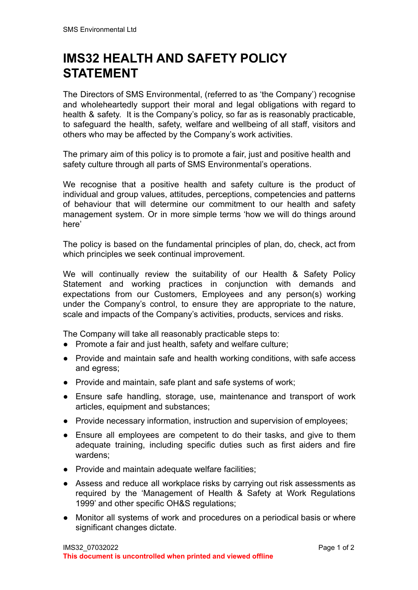## **IMS32 HEALTH AND SAFETY POLICY STATEMENT**

The Directors of SMS Environmental, (referred to as 'the Company') recognise and wholeheartedly support their moral and legal obligations with regard to health & safety. It is the Company's policy, so far as is reasonably practicable, to safeguard the health, safety, welfare and wellbeing of all staff, visitors and others who may be affected by the Company's work activities.

The primary aim of this policy is to promote a fair, just and positive health and safety culture through all parts of SMS Environmental's operations.

We recognise that a positive health and safety culture is the product of individual and group values, attitudes, perceptions, competencies and patterns of behaviour that will determine our commitment to our health and safety management system. Or in more simple terms 'how we will do things around here'

The policy is based on the fundamental principles of plan, do, check, act from which principles we seek continual improvement.

We will continually review the suitability of our Health & Safety Policy Statement and working practices in conjunction with demands and expectations from our Customers, Employees and any person(s) working under the Company's control, to ensure they are appropriate to the nature, scale and impacts of the Company's activities, products, services and risks.

The Company will take all reasonably practicable steps to:

- Promote a fair and just health, safety and welfare culture;
- Provide and maintain safe and health working conditions, with safe access and egress;
- Provide and maintain, safe plant and safe systems of work;
- Ensure safe handling, storage, use, maintenance and transport of work articles, equipment and substances;
- Provide necessary information, instruction and supervision of employees;
- Ensure all employees are competent to do their tasks, and give to them adequate training, including specific duties such as first aiders and fire wardens;
- Provide and maintain adequate welfare facilities;
- Assess and reduce all workplace risks by carrying out risk assessments as required by the 'Management of Health & Safety at Work Regulations 1999' and other specific OH&S regulations;
- Monitor all systems of work and procedures on a periodical basis or where significant changes dictate.